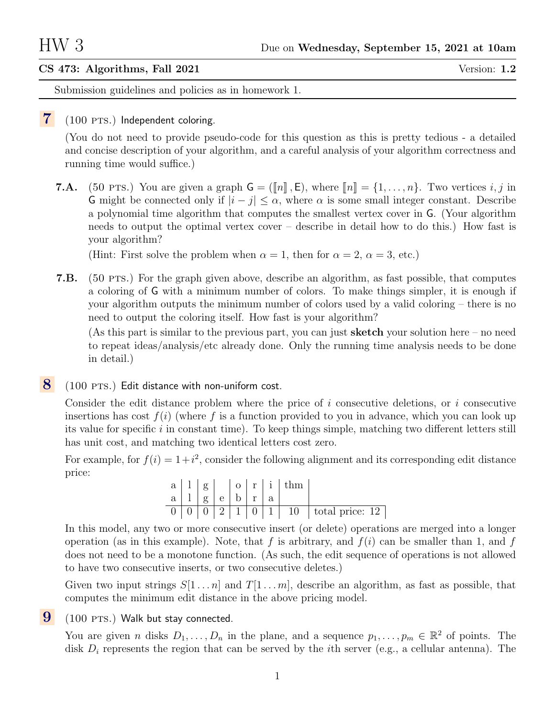## CS 473: Algorithms, Fall 2021 Version: 1.2

Submission guidelines and policies as in homework 1.

## $7(100 \text{ PTS.})$  Independent coloring.

(You do not need to provide pseudo-code for this question as this is pretty tedious - a detailed and concise description of your algorithm, and a careful analysis of your algorithm correctness and running time would suffice.)

**7.A.** (50 PTS.) You are given a graph  $\mathsf{G} = (\llbracket n \rrbracket, \mathsf{E})$ , where  $\llbracket n \rrbracket = \{1, \ldots, n\}$ . Two vertices i, j in G might be connected only if  $|i - j| \leq \alpha$ , where  $\alpha$  is some small integer constant. Describe a polynomial time algorithm that computes the smallest vertex cover in G. (Your algorithm needs to output the optimal vertex cover – describe in detail how to do this.) How fast is your algorithm?

(Hint: First solve the problem when  $\alpha = 1$ , then for  $\alpha = 2$ ,  $\alpha = 3$ , etc.)

7.B. (50 pts.) For the graph given above, describe an algorithm, as fast possible, that computes a coloring of G with a minimum number of colors. To make things simpler, it is enough if your algorithm outputs the minimum number of colors used by a valid coloring – there is no need to output the coloring itself. How fast is your algorithm?

(As this part is similar to the previous part, you can just **sketch** your solution here – no need to repeat ideas/analysis/etc already done. Only the running time analysis needs to be done in detail.)

 $\bf{8}$  (100 PTS.) Edit distance with non-uniform cost.

Consider the edit distance problem where the price of  $i$  consecutive deletions, or  $i$  consecutive insertions has cost  $f(i)$  (where f is a function provided to you in advance, which you can look up its value for specific  $i$  in constant time). To keep things simple, matching two different letters still has unit cost, and matching two identical letters cost zero.

For example, for  $f(i) = 1+i^2$ , consider the following alignment and its corresponding edit distance price:

| $\mathbf{a}$ |          |                | $\Omega$ |     | $r \mid i$ |    |                 |
|--------------|----------|----------------|----------|-----|------------|----|-----------------|
| $a -$        | $\sigma$ | e <sub>1</sub> | b.       | r - | a          |    |                 |
|              |          |                |          |     |            | 10 | total price: 12 |

In this model, any two or more consecutive insert (or delete) operations are merged into a longer operation (as in this example). Note, that f is arbitrary, and  $f(i)$  can be smaller than 1, and f does not need to be a monotone function. (As such, the edit sequence of operations is not allowed to have two consecutive inserts, or two consecutive deletes.)

Given two input strings  $S[1 \dots n]$  and  $T[1 \dots m]$ , describe an algorithm, as fast as possible, that computes the minimum edit distance in the above pricing model.

## $9$  (100 PTS.) Walk but stay connected.

You are given *n* disks  $D_1, \ldots, D_n$  in the plane, and a sequence  $p_1, \ldots, p_m \in \mathbb{R}^2$  of points. The disk  $D_i$  represents the region that can be served by the *i*th server (e.g., a cellular antenna). The